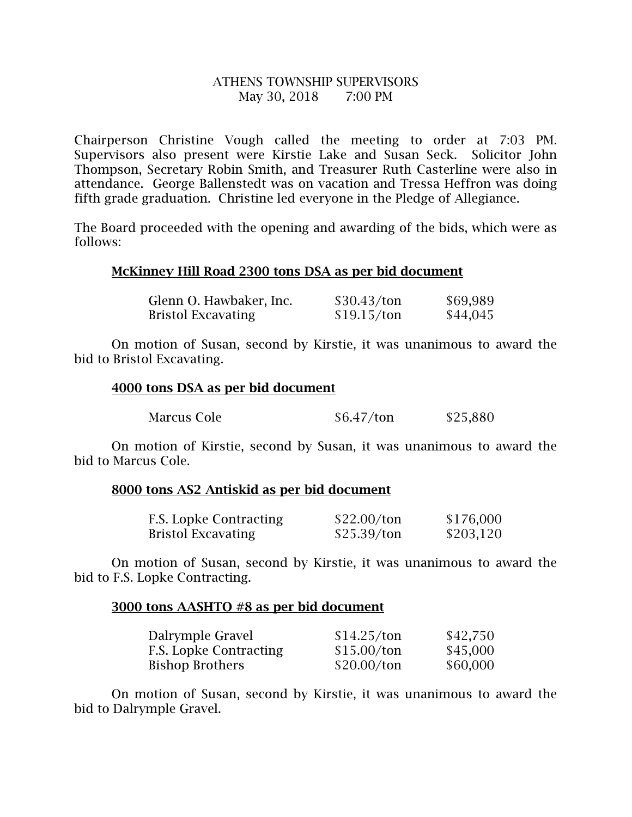# ATHENS TOWNSHIP SUPERVISORS May 30, 2018 7:00 PM

Chairperson Christine Vough called the meeting to order at 7:03 PM. Supervisors also present were Kirstie Lake and Susan Seck. Solicitor John Thompson, Secretary Robin Smith, and Treasurer Ruth Casterline were also in attendance. George Ballenstedt was on vacation and Tressa Heffron was doing fifth grade graduation. Christine led everyone in the Pledge of Allegiance.

The Board proceeded with the opening and awarding of the bids, which were as follows:

# McKinney Hill Road 2300 tons DSA as per bid document

| Glenn O. Hawbaker, Inc.   | \$30.43/ton | \$69,989 |
|---------------------------|-------------|----------|
| <b>Bristol Excavating</b> | \$19.15/ton | \$44,045 |

 On motion of Susan, second by Kirstie, it was unanimous to award the bid to Bristol Excavating.

# 4000 tons DSA as per bid document

| Marcus Cole | \$6.47/ton | \$25,880 |
|-------------|------------|----------|
|-------------|------------|----------|

 On motion of Kirstie, second by Susan, it was unanimous to award the bid to Marcus Cole.

### 8000 tons AS2 Antiskid as per bid document

| <b>F.S. Lopke Contracting</b> | \$22.00/ton | \$176,000 |
|-------------------------------|-------------|-----------|
| <b>Bristol Excavating</b>     | \$25.39/ton | \$203,120 |

 On motion of Susan, second by Kirstie, it was unanimous to award the bid to F.S. Lopke Contracting.

### 3000 tons AASHTO #8 as per bid document

| Dalrymple Gravel              | \$14.25/ton | \$42,750 |
|-------------------------------|-------------|----------|
| <b>F.S. Lopke Contracting</b> | \$15.00/ton | \$45,000 |
| <b>Bishop Brothers</b>        | \$20.00/ton | \$60,000 |

 On motion of Susan, second by Kirstie, it was unanimous to award the bid to Dalrymple Gravel.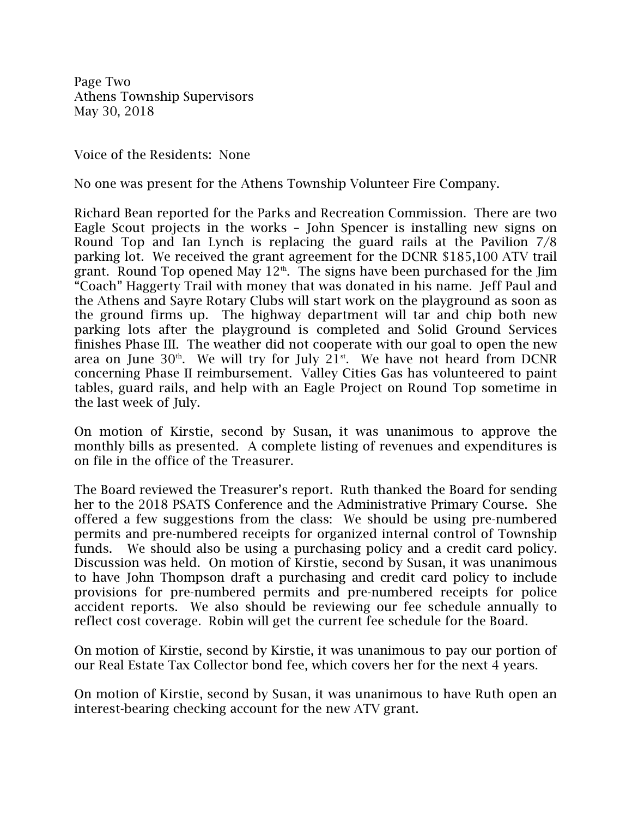Page Two Athens Township Supervisors May 30, 2018

Voice of the Residents: None

No one was present for the Athens Township Volunteer Fire Company.

Richard Bean reported for the Parks and Recreation Commission. There are two Eagle Scout projects in the works – John Spencer is installing new signs on Round Top and Ian Lynch is replacing the guard rails at the Pavilion 7/8 parking lot. We received the grant agreement for the DCNR \$185,100 ATV trail grant. Round Top opened May  $12<sup>th</sup>$ . The signs have been purchased for the Jim "Coach" Haggerty Trail with money that was donated in his name. Jeff Paul and the Athens and Sayre Rotary Clubs will start work on the playground as soon as the ground firms up. The highway department will tar and chip both new parking lots after the playground is completed and Solid Ground Services finishes Phase III. The weather did not cooperate with our goal to open the new area on June  $30<sup>th</sup>$ . We will try for July 21 $<sup>st</sup>$ . We have not heard from DCNR</sup> concerning Phase II reimbursement. Valley Cities Gas has volunteered to paint tables, guard rails, and help with an Eagle Project on Round Top sometime in the last week of July.

On motion of Kirstie, second by Susan, it was unanimous to approve the monthly bills as presented. A complete listing of revenues and expenditures is on file in the office of the Treasurer.

The Board reviewed the Treasurer's report. Ruth thanked the Board for sending her to the 2018 PSATS Conference and the Administrative Primary Course. She offered a few suggestions from the class: We should be using pre-numbered permits and pre-numbered receipts for organized internal control of Township funds. We should also be using a purchasing policy and a credit card policy. Discussion was held. On motion of Kirstie, second by Susan, it was unanimous to have John Thompson draft a purchasing and credit card policy to include provisions for pre-numbered permits and pre-numbered receipts for police accident reports. We also should be reviewing our fee schedule annually to reflect cost coverage. Robin will get the current fee schedule for the Board.

On motion of Kirstie, second by Kirstie, it was unanimous to pay our portion of our Real Estate Tax Collector bond fee, which covers her for the next 4 years.

On motion of Kirstie, second by Susan, it was unanimous to have Ruth open an interest-bearing checking account for the new ATV grant.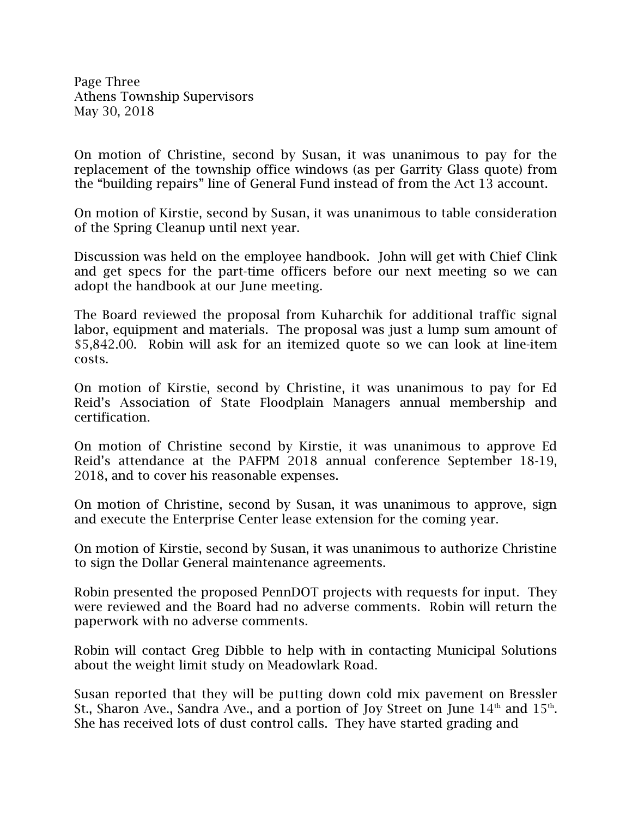Page Three Athens Township Supervisors May 30, 2018

On motion of Christine, second by Susan, it was unanimous to pay for the replacement of the township office windows (as per Garrity Glass quote) from the "building repairs" line of General Fund instead of from the Act 13 account.

On motion of Kirstie, second by Susan, it was unanimous to table consideration of the Spring Cleanup until next year.

Discussion was held on the employee handbook. John will get with Chief Clink and get specs for the part-time officers before our next meeting so we can adopt the handbook at our June meeting.

The Board reviewed the proposal from Kuharchik for additional traffic signal labor, equipment and materials. The proposal was just a lump sum amount of \$5,842.00. Robin will ask for an itemized quote so we can look at line-item costs.

On motion of Kirstie, second by Christine, it was unanimous to pay for Ed Reid's Association of State Floodplain Managers annual membership and certification.

On motion of Christine second by Kirstie, it was unanimous to approve Ed Reid's attendance at the PAFPM 2018 annual conference September 18-19, 2018, and to cover his reasonable expenses.

On motion of Christine, second by Susan, it was unanimous to approve, sign and execute the Enterprise Center lease extension for the coming year.

On motion of Kirstie, second by Susan, it was unanimous to authorize Christine to sign the Dollar General maintenance agreements.

Robin presented the proposed PennDOT projects with requests for input. They were reviewed and the Board had no adverse comments. Robin will return the paperwork with no adverse comments.

Robin will contact Greg Dibble to help with in contacting Municipal Solutions about the weight limit study on Meadowlark Road.

Susan reported that they will be putting down cold mix pavement on Bressler St., Sharon Ave., Sandra Ave., and a portion of Joy Street on June  $14<sup>th</sup>$  and  $15<sup>th</sup>$ . She has received lots of dust control calls. They have started grading and